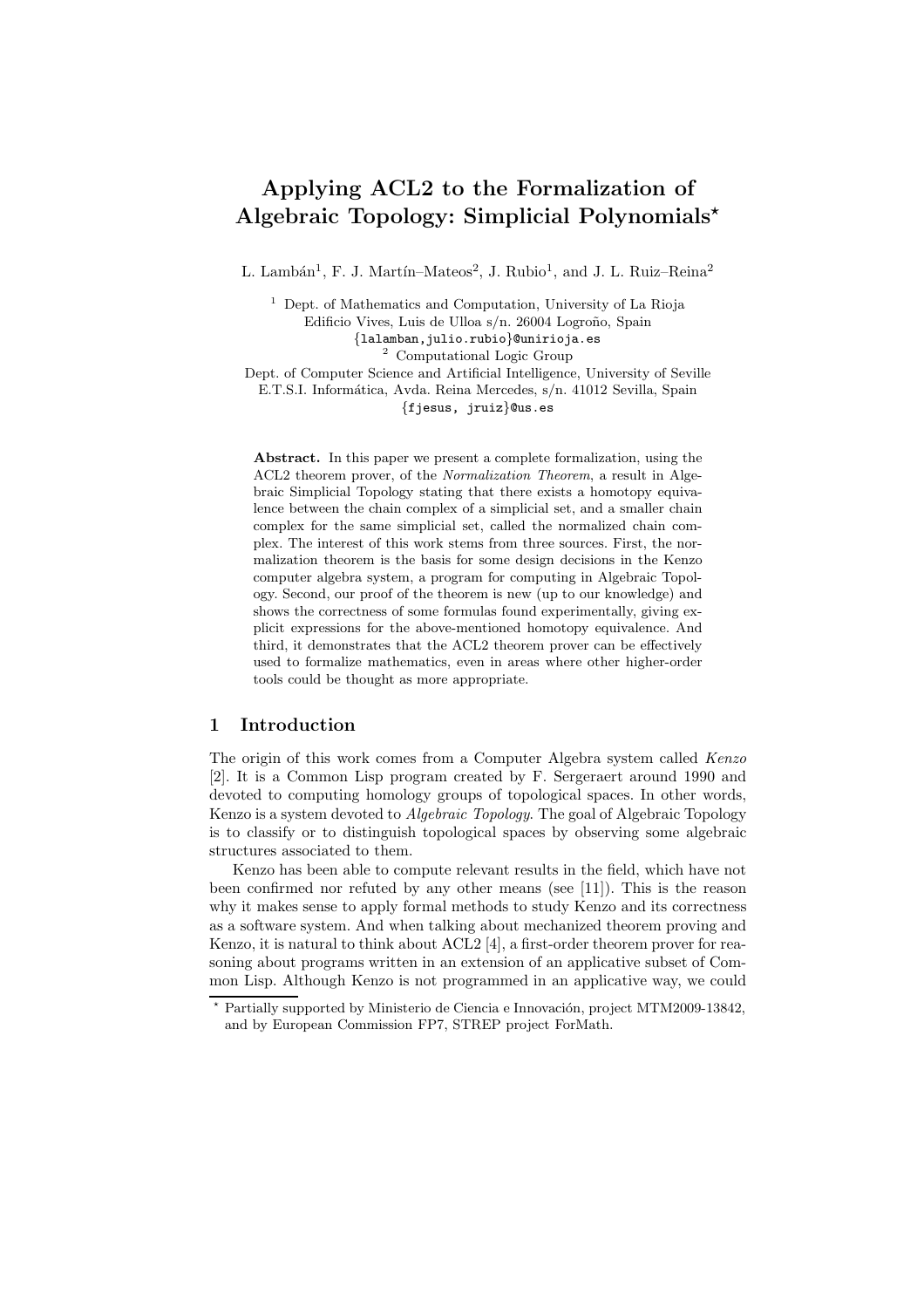## Applying ACL2 to the Formalization of Algebraic Topology: Simplicial Polynomials<sup>\*</sup>

L. Lambán<sup>1</sup>, F. J. Martín–Mateos<sup>2</sup>, J. Rubio<sup>1</sup>, and J. L. Ruiz–Reina<sup>2</sup>

<sup>1</sup> Dept. of Mathematics and Computation, University of La Rioja Edificio Vives, Luis de Ulloa s/n. 26004 Logroño, Spain {lalamban,julio.rubio}@unirioja.es <sup>2</sup> Computational Logic Group Dept. of Computer Science and Artificial Intelligence, University of Seville E.T.S.I. Informática, Avda. Reina Mercedes, s/n. 41012 Sevilla, Spain {fjesus, jruiz}@us.es

Abstract. In this paper we present a complete formalization, using the ACL2 theorem prover, of the Normalization Theorem, a result in Algebraic Simplicial Topology stating that there exists a homotopy equivalence between the chain complex of a simplicial set, and a smaller chain complex for the same simplicial set, called the normalized chain complex. The interest of this work stems from three sources. First, the normalization theorem is the basis for some design decisions in the Kenzo computer algebra system, a program for computing in Algebraic Topology. Second, our proof of the theorem is new (up to our knowledge) and shows the correctness of some formulas found experimentally, giving explicit expressions for the above-mentioned homotopy equivalence. And third, it demonstrates that the ACL2 theorem prover can be effectively used to formalize mathematics, even in areas where other higher-order tools could be thought as more appropriate.

## 1 Introduction

The origin of this work comes from a Computer Algebra system called Kenzo [2]. It is a Common Lisp program created by F. Sergeraert around 1990 and devoted to computing homology groups of topological spaces. In other words, Kenzo is a system devoted to Algebraic Topology. The goal of Algebraic Topology is to classify or to distinguish topological spaces by observing some algebraic structures associated to them.

Kenzo has been able to compute relevant results in the field, which have not been confirmed nor refuted by any other means (see [11]). This is the reason why it makes sense to apply formal methods to study Kenzo and its correctness as a software system. And when talking about mechanized theorem proving and Kenzo, it is natural to think about ACL2 [4], a first-order theorem prover for reasoning about programs written in an extension of an applicative subset of Common Lisp. Although Kenzo is not programmed in an applicative way, we could

Partially supported by Ministerio de Ciencia e Innovación, project MTM2009-13842, and by European Commission FP7, STREP project ForMath.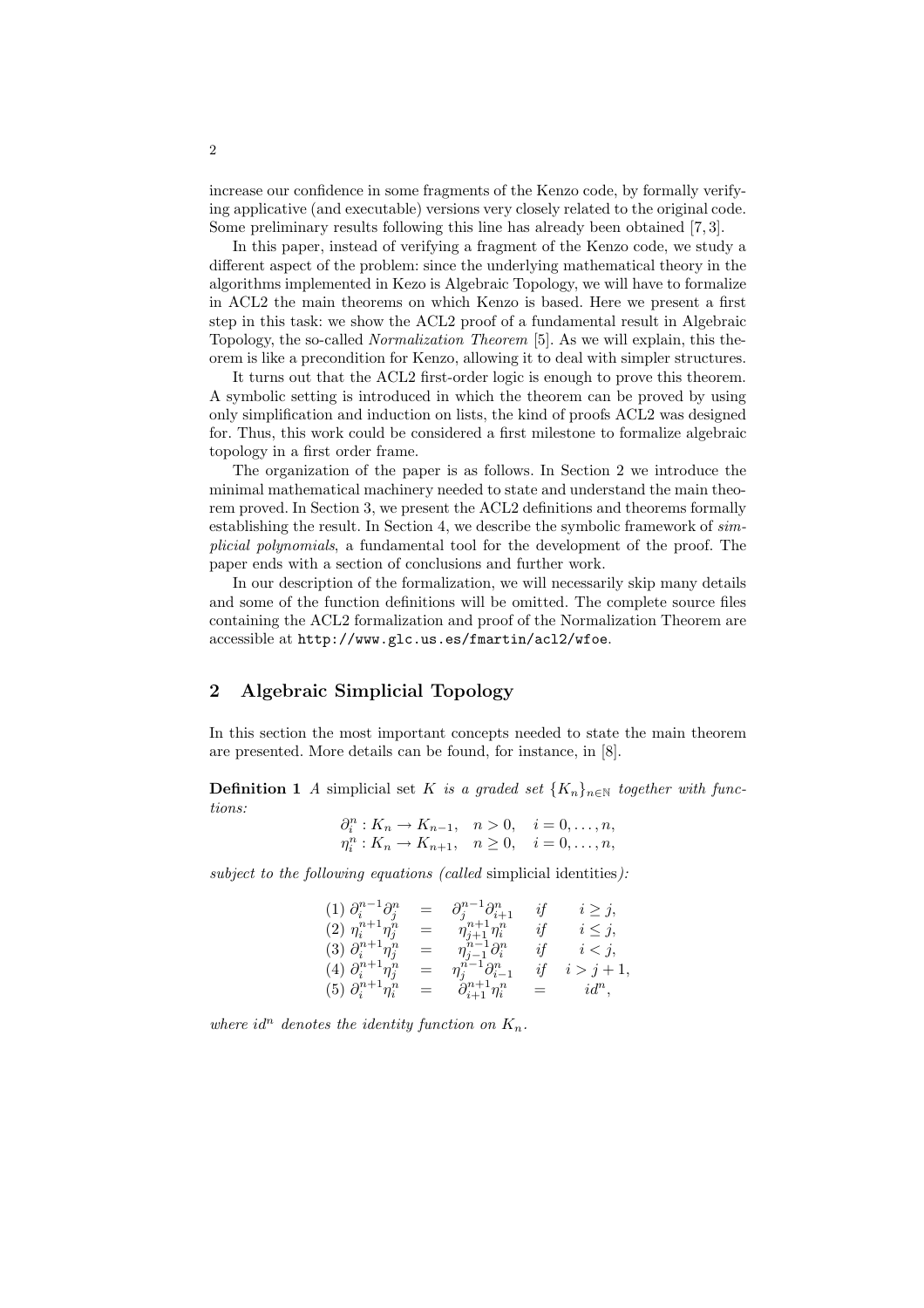increase our confidence in some fragments of the Kenzo code, by formally verifying applicative (and executable) versions very closely related to the original code. Some preliminary results following this line has already been obtained [7, 3].

In this paper, instead of verifying a fragment of the Kenzo code, we study a different aspect of the problem: since the underlying mathematical theory in the algorithms implemented in Kezo is Algebraic Topology, we will have to formalize in ACL2 the main theorems on which Kenzo is based. Here we present a first step in this task: we show the ACL2 proof of a fundamental result in Algebraic Topology, the so-called Normalization Theorem [5]. As we will explain, this theorem is like a precondition for Kenzo, allowing it to deal with simpler structures.

It turns out that the ACL2 first-order logic is enough to prove this theorem. A symbolic setting is introduced in which the theorem can be proved by using only simplification and induction on lists, the kind of proofs ACL2 was designed for. Thus, this work could be considered a first milestone to formalize algebraic topology in a first order frame.

The organization of the paper is as follows. In Section 2 we introduce the minimal mathematical machinery needed to state and understand the main theorem proved. In Section 3, we present the ACL2 definitions and theorems formally establishing the result. In Section 4, we describe the symbolic framework of simplicial polynomials, a fundamental tool for the development of the proof. The paper ends with a section of conclusions and further work.

In our description of the formalization, we will necessarily skip many details and some of the function definitions will be omitted. The complete source files containing the ACL2 formalization and proof of the Normalization Theorem are accessible at http://www.glc.us.es/fmartin/acl2/wfoe.

## 2 Algebraic Simplicial Topology

In this section the most important concepts needed to state the main theorem are presented. More details can be found, for instance, in [8].

**Definition 1** A simplicial set K is a graded set  $\{K_n\}_{n\in\mathbb{N}}$  together with functions:

$$
\partial_i^n: K_n \to K_{n-1}, \quad n > 0, \quad i = 0, \dots, n, \n\eta_i^n: K_n \to K_{n+1}, \quad n \ge 0, \quad i = 0, \dots, n,
$$

subject to the following equations (called simplicial identities):

$$
(1) \ \partial_i^{n-1} \partial_j^{n} = \partial_j^{n-1} \partial_{i+1}^{n} \quad \text{if} \quad i \geq j, (2) \ \eta_i^{n+1} \eta_j^{n} = \eta_{j+1}^{n+1} \eta_i^{n} \quad \text{if} \quad i \leq j, (3) \ \partial_i^{n+1} \eta_j^{n} = \eta_{j-1}^{n-1} \partial_i^{n} \quad \text{if} \quad i < j, (4) \ \partial_i^{n+1} \eta_j^{n} = \eta_j^{n-1} \partial_{i-1}^{n} \quad \text{if} \quad i > j+1, (5) \ \partial_i^{n+1} \eta_i^{n} = \partial_{i+1}^{n+1} \eta_i^{n} = id^n,
$$

where id<sup>n</sup> denotes the identity function on  $K_n$ .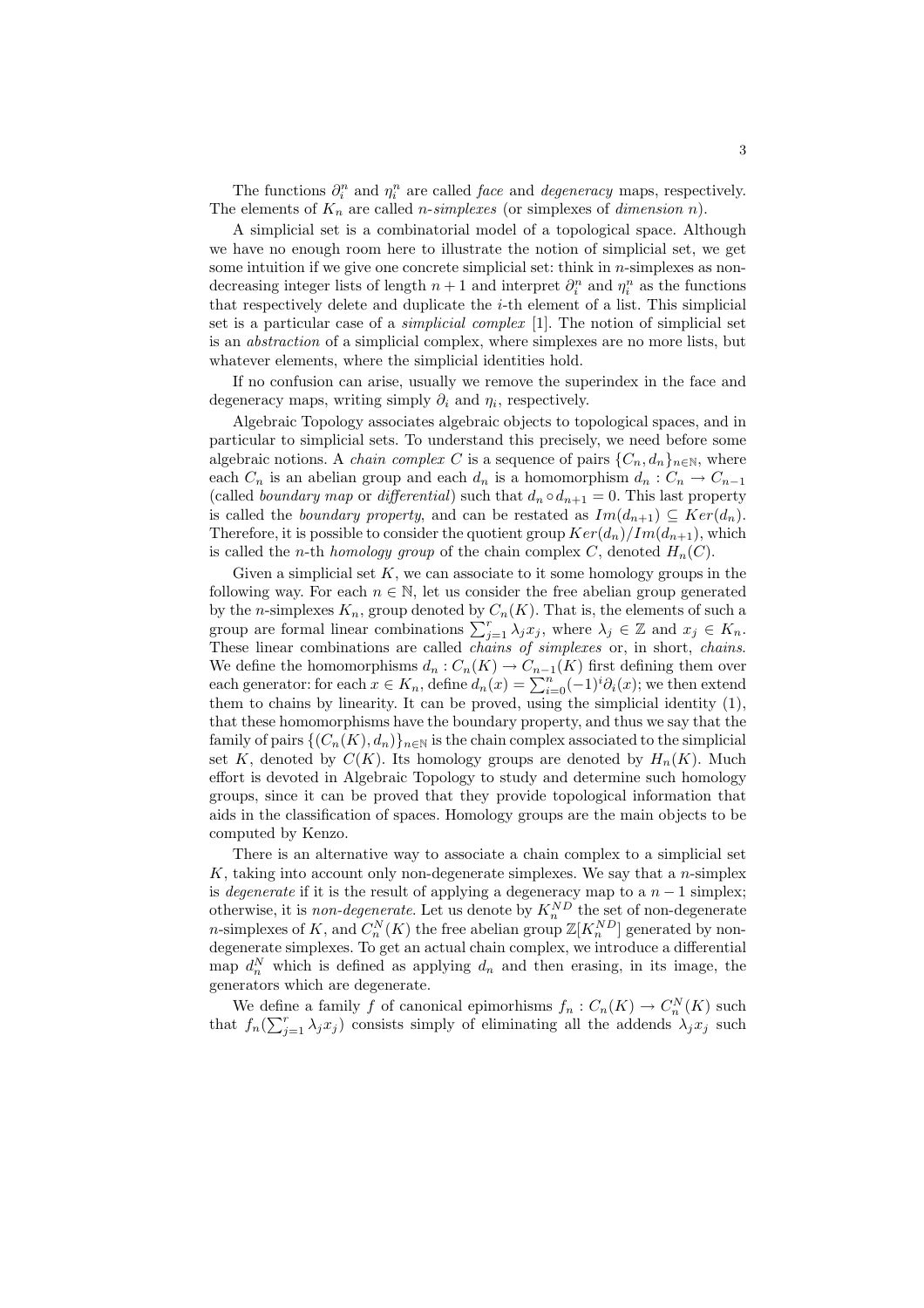The functions  $\partial_i^n$  and  $\eta_i^n$  are called *face* and *degeneracy* maps, respectively. The elements of  $K_n$  are called *n-simplexes* (or simplexes of *dimension n*).

A simplicial set is a combinatorial model of a topological space. Although we have no enough room here to illustrate the notion of simplicial set, we get some intuition if we give one concrete simplicial set: think in  $n$ -simplexes as nondecreasing integer lists of length  $n+1$  and interpret  $\partial_i^n$  and  $\eta_i^n$  as the functions that respectively delete and duplicate the i-th element of a list. This simplicial set is a particular case of a *simplicial complex* [1]. The notion of simplicial set is an abstraction of a simplicial complex, where simplexes are no more lists, but whatever elements, where the simplicial identities hold.

If no confusion can arise, usually we remove the superindex in the face and degeneracy maps, writing simply  $\partial_i$  and  $\eta_i$ , respectively.

Algebraic Topology associates algebraic objects to topological spaces, and in particular to simplicial sets. To understand this precisely, we need before some algebraic notions. A *chain complex C* is a sequence of pairs  ${C_n, d_n}_{n \in \mathbb{N}}$ , where each  $C_n$  is an abelian group and each  $d_n$  is a homomorphism  $d_n : C_n \to C_{n-1}$ (called *boundary map* or *differential*) such that  $d_n \circ d_{n+1} = 0$ . This last property is called the *boundary property*, and can be restated as  $Im(d_{n+1}) \subseteq Ker(d_n)$ . Therefore, it is possible to consider the quotient group  $Ker(d_n)/Im(d_{n+1})$ , which is called the *n*-th *homology group* of the chain complex C, denoted  $H_n(C)$ .

Given a simplicial set  $K$ , we can associate to it some homology groups in the following way. For each  $n \in \mathbb{N}$ , let us consider the free abelian group generated by the *n*-simplexes  $K_n$ , group denoted by  $C_n(K)$ . That is, the elements of such a group are formal linear combinations  $\sum_{j=1}^{r} \lambda_j x_j$ , where  $\lambda_j \in \mathbb{Z}$  and  $x_j \in K_n$ . These linear combinations are called *chains of simplexes* or, in short, *chains*. We define the homomorphisms  $d_n: C_n(K) \to C_{n-1}(K)$  first defining them over each generator: for each  $x \in K_n$ , define  $d_n(x) = \sum_{i=0}^n (-1)^i \partial_i(x)$ ; we then extend them to chains by linearity. It can be proved, using the simplicial identity (1), that these homomorphisms have the boundary property, and thus we say that the family of pairs  $\{(C_n(K), d_n)\}_{n\in\mathbb{N}}$  is the chain complex associated to the simplicial set K, denoted by  $C(K)$ . Its homology groups are denoted by  $H_n(K)$ . Much effort is devoted in Algebraic Topology to study and determine such homology groups, since it can be proved that they provide topological information that aids in the classification of spaces. Homology groups are the main objects to be computed by Kenzo.

There is an alternative way to associate a chain complex to a simplicial set  $K$ , taking into account only non-degenerate simplexes. We say that a *n*-simplex is *degenerate* if it is the result of applying a degeneracy map to a  $n-1$  simplex; otherwise, it is *non-degenerate*. Let us denote by  $K_n^{ND}$  the set of non-degenerate *n*-simplexes of K, and  $C_n^N(K)$  the free abelian group  $\mathbb{Z}[K_n^{ND}]$  generated by nondegenerate simplexes. To get an actual chain complex, we introduce a differential map  $d_n^N$  which is defined as applying  $d_n$  and then erasing, in its image, the generators which are degenerate.

We define a family f of canonical epimorhisms  $f_n: C_n(K) \to C_n^N(K)$  such that  $f_n(\sum_{j=1}^r \lambda_j x_j)$  consists simply of eliminating all the addends  $\lambda_j x_j$  such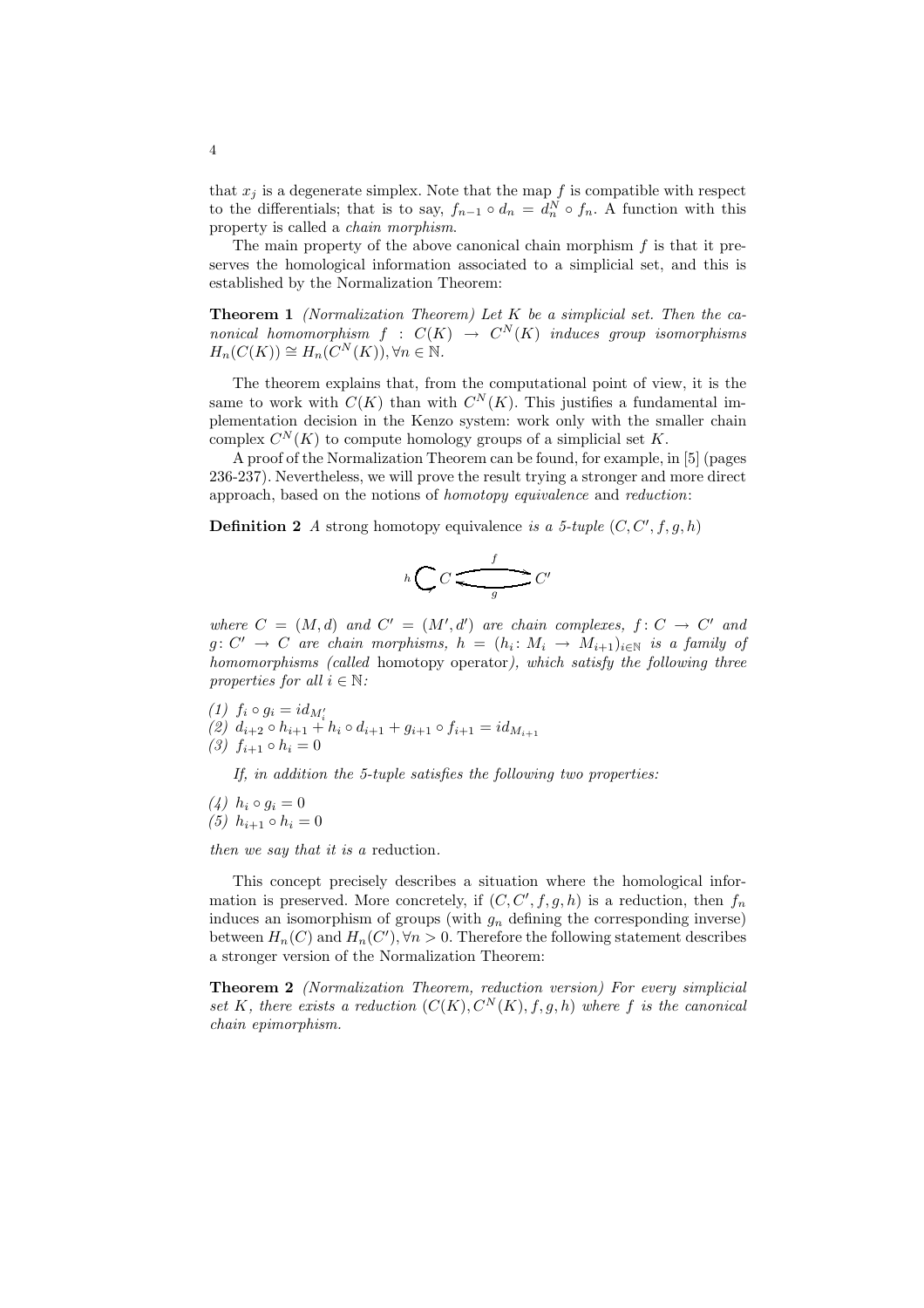that  $x_j$  is a degenerate simplex. Note that the map f is compatible with respect to the differentials; that is to say,  $f_{n-1} \circ d_n = d_n^N \circ f_n$ . A function with this property is called a chain morphism.

The main property of the above canonical chain morphism  $f$  is that it preserves the homological information associated to a simplicial set, and this is established by the Normalization Theorem:

**Theorem 1** (Normalization Theorem) Let  $K$  be a simplicial set. Then the canonical homomorphism  $f : C(K) \rightarrow C<sup>N</sup>(K)$  induces group isomorphisms  $H_n(C(K)) \cong H_n(C^N(K)), \forall n \in \mathbb{N}.$ 

The theorem explains that, from the computational point of view, it is the same to work with  $C(K)$  than with  $C^N(K)$ . This justifies a fundamental implementation decision in the Kenzo system: work only with the smaller chain complex  $C^N(K)$  to compute homology groups of a simplicial set K.

A proof of the Normalization Theorem can be found, for example, in [5] (pages 236-237). Nevertheless, we will prove the result trying a stronger and more direct approach, based on the notions of homotopy equivalence and reduction:

**Definition 2** A strong homotopy equivalence is a 5-tuple  $(C, C', f, g, h)$ 

$$
h\bigcirc C\overbrace{\underbrace{\qquad \qquad }_{g}}^{f}C'
$$

where  $C = (M, d)$  and  $C' = (M', d')$  are chain complexes,  $f: C \to C'$  and  $g: C' \to C$  are chain morphisms,  $h = (h_i: M_i \to M_{i+1})_{i \in \mathbb{N}}$  is a family of homomorphisms (called homotopy operator), which satisfy the following three properties for all  $i \in \mathbb{N}$ :

(1)  $f_i \circ g_i = id_{M'_i}$ <br>
(2)  $d_{i+2} \circ h_{i+1} + h_i \circ d_{i+1} + g_{i+1} \circ f_{i+1} = id_{M_{i+1}}$ (3)  $f_{i+1} \circ h_i = 0$ 

If, in addition the 5-tuple satisfies the following two properties:

 $(4)$   $h_i \circ g_i = 0$ (5)  $h_{i+1} \circ h_i = 0$ 

then we say that it is a reduction.

This concept precisely describes a situation where the homological information is preserved. More concretely, if  $(C, C', f, g, h)$  is a reduction, then  $f_n$ induces an isomorphism of groups (with  $g_n$  defining the corresponding inverse) between  $H_n(C)$  and  $H_n(C')$ ,  $\forall n > 0$ . Therefore the following statement describes a stronger version of the Normalization Theorem:

Theorem 2 (Normalization Theorem, reduction version) For every simplicial set K, there exists a reduction  $(C(K), C<sup>N</sup>(K), f, q, h)$  where f is the canonical chain epimorphism.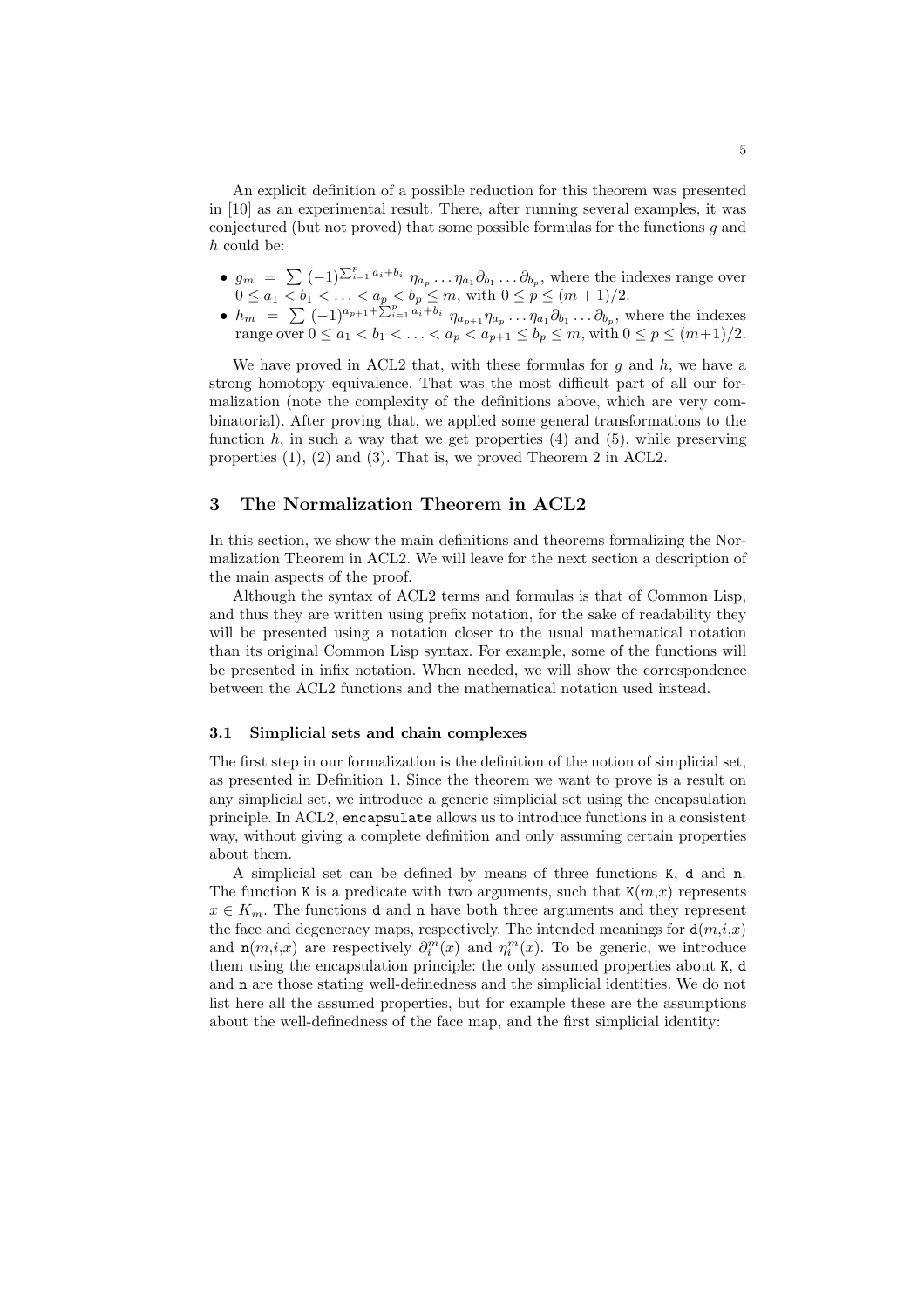An explicit definition of a possible reduction for this theorem was presented in [10] as an experimental result. There, after running several examples, it was conjectured (but not proved) that some possible formulas for the functions  $g$  and h could be:

- $g_m = \sum (-1)^{\sum_{i=1}^p a_i + b_i} \eta_{a_p} \dots \eta_{a_1} \partial_{b_1} \dots \partial_{b_p}$ , where the indexes range over  $0 \le a_1 < b_1 < \ldots < a_p < b_p \le m$ , with  $0 \le p \le (m+1)/2$ .
- $h_m = \sum_{i=1}^{\infty} (-1)^{a_{p+1} + \sum_{i=1}^{p} a_i + b_i} \eta_{a_{p+1}} \eta_{a_p} \dots \eta_{a_1} \partial_{b_1} \dots \partial_{b_p}$ , where the indexes range over  $0 \le a_1 < b_1 < \ldots < a_p < a_{p+1} \le b_p \le m$ , with  $0 \le p \le (m+1)/2$ .

We have proved in ACL2 that, with these formulas for  $g$  and  $h$ , we have a strong homotopy equivalence. That was the most difficult part of all our formalization (note the complexity of the definitions above, which are very combinatorial). After proving that, we applied some general transformations to the function h, in such a way that we get properties  $(4)$  and  $(5)$ , while preserving properties (1), (2) and (3). That is, we proved Theorem 2 in ACL2.

## 3 The Normalization Theorem in ACL2

In this section, we show the main definitions and theorems formalizing the Normalization Theorem in ACL2. We will leave for the next section a description of the main aspects of the proof.

Although the syntax of ACL2 terms and formulas is that of Common Lisp, and thus they are written using prefix notation, for the sake of readability they will be presented using a notation closer to the usual mathematical notation than its original Common Lisp syntax. For example, some of the functions will be presented in infix notation. When needed, we will show the correspondence between the ACL2 functions and the mathematical notation used instead.

#### 3.1 Simplicial sets and chain complexes

The first step in our formalization is the definition of the notion of simplicial set, as presented in Definition 1. Since the theorem we want to prove is a result on any simplicial set, we introduce a generic simplicial set using the encapsulation principle. In ACL2, encapsulate allows us to introduce functions in a consistent way, without giving a complete definition and only assuming certain properties about them.

A simplicial set can be defined by means of three functions K, d and n. The function K is a predicate with two arguments, such that  $K(m,x)$  represents  $x \in K_m$ . The functions d and n have both three arguments and they represent the face and degeneracy maps, respectively. The intended meanings for  $d(m,i,x)$ and  $n(m,i,x)$  are respectively  $\partial_i^m(x)$  and  $\eta_i^m(x)$ . To be generic, we introduce them using the encapsulation principle: the only assumed properties about K, d and n are those stating well-definedness and the simplicial identities. We do not list here all the assumed properties, but for example these are the assumptions about the well-definedness of the face map, and the first simplicial identity: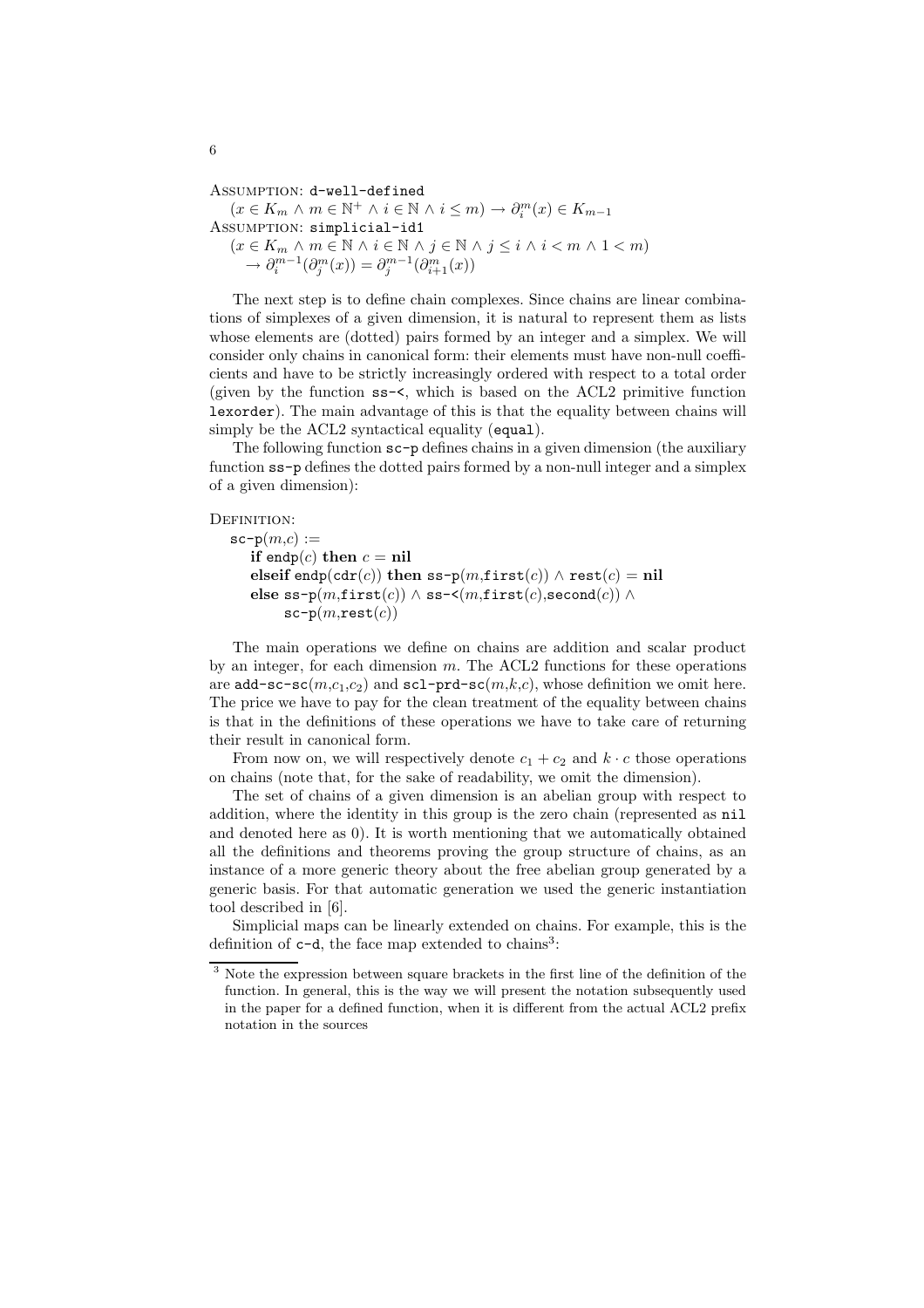Assumption: d-well-defined

 $(x \in K_m \land m \in \mathbb{N}^+ \land i \in \mathbb{N} \land i \leq m) \rightarrow \partial_i^m(x) \in K_{m-1}$ Assumption: simplicial-id1  $(x \in K_m \land m \in \mathbb{N} \land i \in \mathbb{N} \land j \in \mathbb{N} \land j \leq i \land i < m \land 1 < m)$  $\rightarrow \partial_i^{m-1}(\partial_j^m(x)) = \partial_j^{m-1}(\partial_{i+1}^m(x))$ 

The next step is to define chain complexes. Since chains are linear combinations of simplexes of a given dimension, it is natural to represent them as lists whose elements are (dotted) pairs formed by an integer and a simplex. We will consider only chains in canonical form: their elements must have non-null coefficients and have to be strictly increasingly ordered with respect to a total order (given by the function ss-<, which is based on the ACL2 primitive function lexorder). The main advantage of this is that the equality between chains will simply be the ACL2 syntactical equality (equal).

The following function sc-p defines chains in a given dimension (the auxiliary function ss-p defines the dotted pairs formed by a non-null integer and a simplex of a given dimension):

```
DEFINITION:
```

```
\texttt{sc-p}(m,c) :=if endp(c) then c = \textbf{nil}elseif endp(cdr(c)) then ss-p(m,first(c)) \wedge rest(c) = nil
   else ss-p(m, \text{first}(c)) \wedge ss-\leq (m, \text{first}(c), \text{second}(c)) \wedgesc-p(m,rest(c))
```
The main operations we define on chains are addition and scalar product by an integer, for each dimension  $m$ . The ACL2 functions for these operations are add-sc-sc( $m,c_1,c_2$ ) and sc1-prd-sc( $m,k,c$ ), whose definition we omit here. The price we have to pay for the clean treatment of the equality between chains is that in the definitions of these operations we have to take care of returning their result in canonical form.

From now on, we will respectively denote  $c_1 + c_2$  and  $k \cdot c$  those operations on chains (note that, for the sake of readability, we omit the dimension).

The set of chains of a given dimension is an abelian group with respect to addition, where the identity in this group is the zero chain (represented as nil and denoted here as 0). It is worth mentioning that we automatically obtained all the definitions and theorems proving the group structure of chains, as an instance of a more generic theory about the free abelian group generated by a generic basis. For that automatic generation we used the generic instantiation tool described in [6].

Simplicial maps can be linearly extended on chains. For example, this is the definition of  $c-d$ , the face map extended to chains<sup>3</sup>:

<sup>3</sup> Note the expression between square brackets in the first line of the definition of the function. In general, this is the way we will present the notation subsequently used in the paper for a defined function, when it is different from the actual ACL2 prefix notation in the sources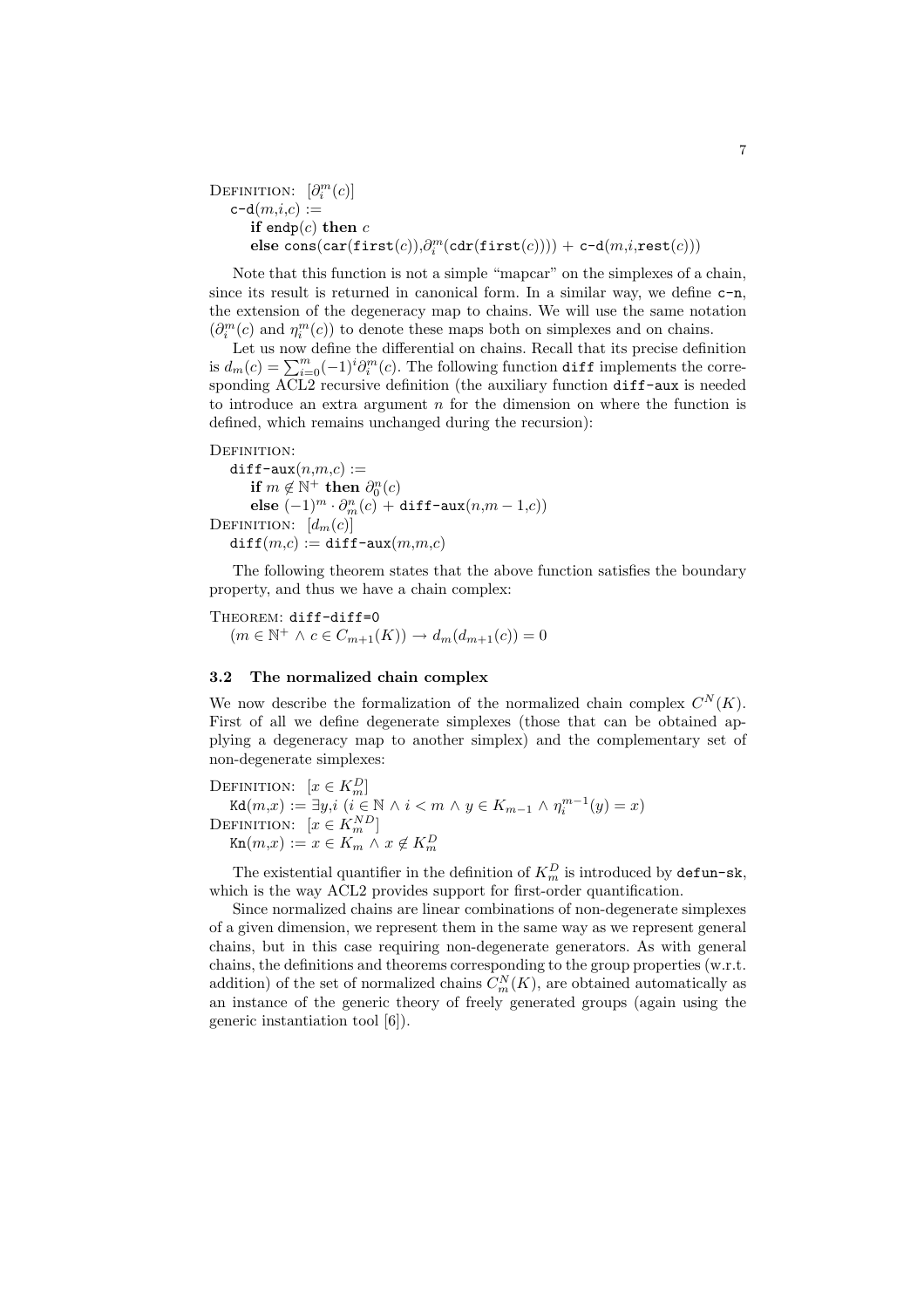```
DEFINITION: [\partial_i^m(c)]c-d(m,i,c) :=if endp(c) then c{\sf else\ cons}({\sf car}({\sf first}(c)),\!\partial_i^m({\sf cdr}({\sf first}(c))))+{\sf c-d}(m,i,{\sf rest}(c)))
```
Note that this function is not a simple "mapcar" on the simplexes of a chain, since its result is returned in canonical form. In a similar way, we define c-n, the extension of the degeneracy map to chains. We will use the same notation  $(\partial_i^m(c)$  and  $\eta_i^m(c))$  to denote these maps both on simplexes and on chains.

Let us now define the differential on chains. Recall that its precise definition is  $d_m(c) = \sum_{i=0}^m (-1)^i \partial_i^m(c)$ . The following function diff implements the corresponding ACL2 recursive definition (the auxiliary function diff-aux is needed to introduce an extra argument  $n$  for the dimension on where the function is defined, which remains unchanged during the recursion):

DEFINITION:

 $diff$ -aux $(n,m,c) :=$ if  $m \notin \mathbb{N}^+$  then  $\partial_0^n(c)$ else  $(-1)^m \cdot \partial_m^n(c) + \text{diff-aux}(n,m-1,c)$ DEFINITION:  $[d_m(c)]$  $diff(m,c) := diff - aux(m,m,c)$ 

The following theorem states that the above function satisfies the boundary property, and thus we have a chain complex:

THEOREM: diff-diff=0  $(m \in \mathbb{N}^+ \land c \in C_{m+1}(K)) \to d_m(d_{m+1}(c)) = 0$ 

#### 3.2 The normalized chain complex

We now describe the formalization of the normalized chain complex  $C^N(K)$ . First of all we define degenerate simplexes (those that can be obtained applying a degeneracy map to another simplex) and the complementary set of non-degenerate simplexes:

DEFINITION:  $[x \in K_m^D]$  $\texttt{Kd}(m,x) := \exists y,i \ (i \in \mathbb{N} \land i < m \land y \in K_{m-1} \land \eta_i^{m-1}(y) = x)$ DEFINITION:  $[x \in K_m^{ND}]$  $\text{Kn}(m,x) := x \in K_m \land x \notin K_m^D$ 

The existential quantifier in the definition of  $K_m^D$  is introduced by **defun-sk**, which is the way ACL2 provides support for first-order quantification.

Since normalized chains are linear combinations of non-degenerate simplexes of a given dimension, we represent them in the same way as we represent general chains, but in this case requiring non-degenerate generators. As with general chains, the definitions and theorems corresponding to the group properties (w.r.t. addition) of the set of normalized chains  $C_m^N(K)$ , are obtained automatically as an instance of the generic theory of freely generated groups (again using the generic instantiation tool [6]).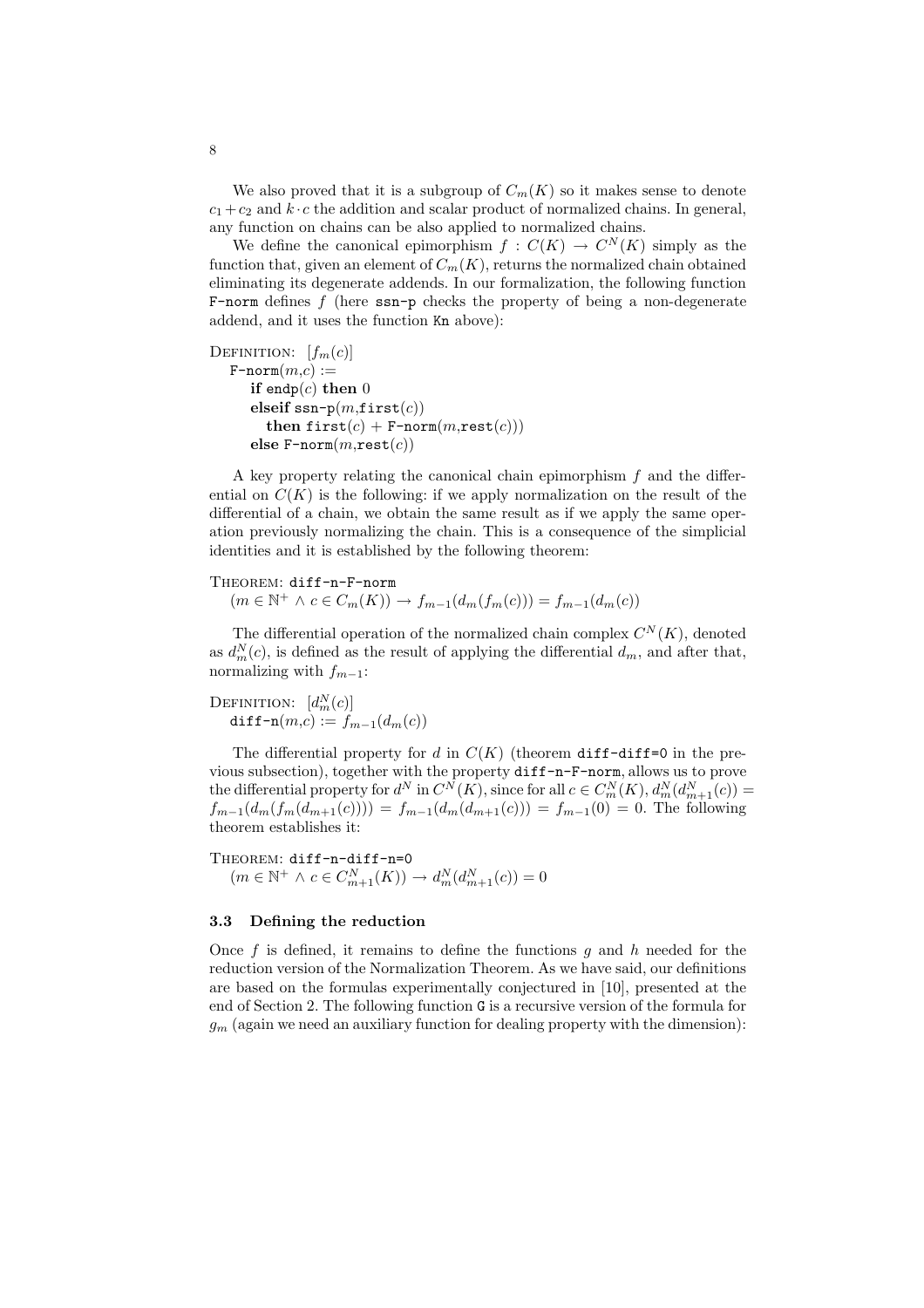We also proved that it is a subgroup of  $C_m(K)$  so it makes sense to denote  $c_1 + c_2$  and  $k \cdot c$  the addition and scalar product of normalized chains. In general, any function on chains can be also applied to normalized chains.

We define the canonical epimorphism  $f: C(K) \to C<sup>N</sup>(K)$  simply as the function that, given an element of  $C_m(K)$ , returns the normalized chain obtained eliminating its degenerate addends. In our formalization, the following function F-norm defines  $f$  (here  $\text{ssn-p}$  checks the property of being a non-degenerate addend, and it uses the function Kn above):

```
DEFINITION: [f_m(c)]F\text{-norm}(m.c) :=if endp(c) then 0
      elseif ssn-p(m, \text{first}(c))then first(c) + F-norm(m, \text{rest}(c)))else F\text{-norm}(m, \text{rest}(c))
```
A key property relating the canonical chain epimorphism  $f$  and the differential on  $C(K)$  is the following: if we apply normalization on the result of the differential of a chain, we obtain the same result as if we apply the same operation previously normalizing the chain. This is a consequence of the simplicial identities and it is established by the following theorem:

## THEOREM: diff-n-F-norm  $(m \in \mathbb{N}^+ \land c \in C_m(K)) \to f_{m-1}(d_m(f_m(c))) = f_{m-1}(d_m(c))$

The differential operation of the normalized chain complex  $C^N(K)$ , denoted as  $d_m^N(c)$ , is defined as the result of applying the differential  $d_m$ , and after that, normalizing with  $f_{m-1}$ :

DEFINITION:  $[d_m^N(c)]$ diff-n $(m,c) := f_{m-1}(d_m(c))$ 

The differential property for d in  $C(K)$  (theorem diff-diff=0 in the previous subsection), together with the property diff-n-F-norm, allows us to prove the differential property for  $d^N$  in  $C^N(K)$ , since for all  $c \in C_m^N(K)$ ,  $d_m^N(d_{m+1}^N(c)) =$  $f_{m-1}(d_m(f_m(d_{m+1}(c)))) = f_{m-1}(d_m(d_{m+1}(c))) = f_{m-1}(0) = 0$ . The following theorem establishes it:

THEOREM: diff-n-diff-n=0  $(m \in \mathbb{N}^+ \land c \in C_{m+1}^N(K)) \to d_m^N(d_{m+1}^N(c)) = 0$ 

#### 3.3 Defining the reduction

Once f is defined, it remains to define the functions q and h needed for the reduction version of the Normalization Theorem. As we have said, our definitions are based on the formulas experimentally conjectured in [10], presented at the end of Section 2. The following function G is a recursive version of the formula for  $g_m$  (again we need an auxiliary function for dealing property with the dimension):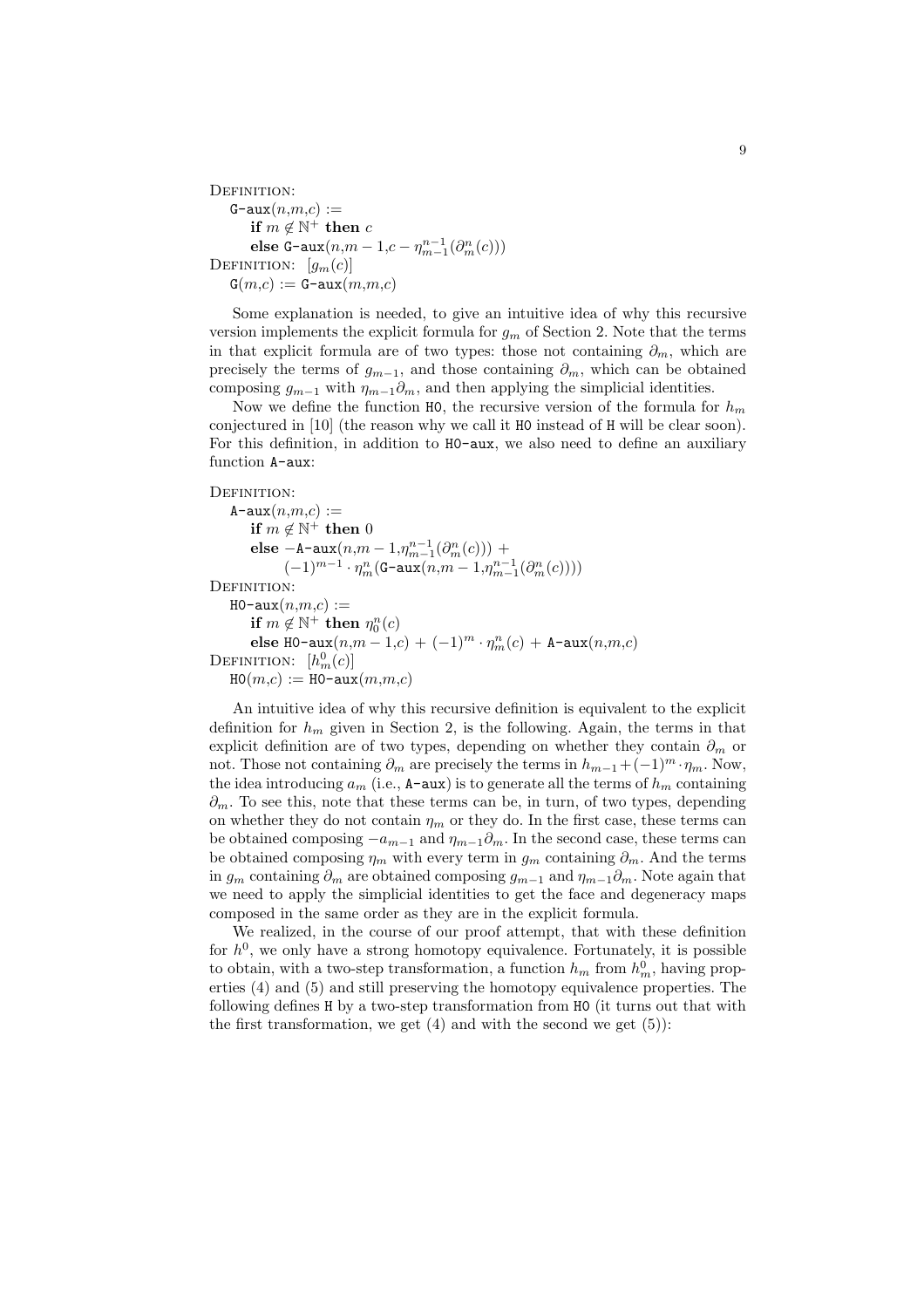```
DEFINITION:
   G-aux(n,m,c) :=if m \notin \mathbb{N}^+ then celse G-aux(n,m-1,c-\eta_{m-1}^{n-1}(\partial_m^n(c)))DEFINITION: [q_m(c)]G(m,c) := G-aux(m,m,c)
```
Some explanation is needed, to give an intuitive idea of why this recursive version implements the explicit formula for  $g_m$  of Section 2. Note that the terms in that explicit formula are of two types: those not containing  $\partial_m$ , which are precisely the terms of  $g_{m-1}$ , and those containing  $\partial_m$ , which can be obtained composing  $g_{m-1}$  with  $\eta_{m-1}\partial_m$ , and then applying the simplicial identities.

Now we define the function H0, the recursive version of the formula for  $h_m$ conjectured in [10] (the reason why we call it H0 instead of H will be clear soon). For this definition, in addition to H0-aux, we also need to define an auxiliary function A-aux:

```
DEFINITION:
```
 $A$ -aux $(n,m,c) :=$  $\mathbf{if} \; m \not\in \mathbb{N}^+ \; \mathbf{then} \; 0$ else  $-A$ -aux $(n,m-1,\eta_{m-1}^{n-1}(\partial_m^n(c)))$  +  $(-1)^{m-1} \cdot \eta_m^n(\texttt{G-aux}(n,m-1,\eta_{m-1}^{n-1}(\partial^m_m(c))))$ DEFINITION:  $H0$ -aux $(n,m,c) :=$ if  $m \notin \mathbb{N}^+$  then  $\eta_0^n(c)$ else H0-aux $(n,m-1,c) + (-1)^m \cdot \eta_m^n(c) + A$ -aux $(n,m,c)$ DEFINITION:  $[h_m^0(c)]$  $HO(m,c) := HO$ -aux $(m,m,c)$ 

An intuitive idea of why this recursive definition is equivalent to the explicit definition for  $h_m$  given in Section 2, is the following. Again, the terms in that explicit definition are of two types, depending on whether they contain  $\partial_m$  or not. Those not containing  $\partial_m$  are precisely the terms in  $h_{m-1} + (-1)^m \cdot \eta_m$ . Now, the idea introducing  $a_m$  (i.e.,  $A$ -aux) is to generate all the terms of  $h_m$  containing  $\partial_m$ . To see this, note that these terms can be, in turn, of two types, depending on whether they do not contain  $\eta_m$  or they do. In the first case, these terms can be obtained composing  $-a_{m-1}$  and  $\eta_{m-1}\partial_m$ . In the second case, these terms can be obtained composing  $\eta_m$  with every term in  $g_m$  containing  $\partial_m$ . And the terms in  $g_m$  containing  $\partial_m$  are obtained composing  $g_{m-1}$  and  $\eta_{m-1}\partial_m$ . Note again that we need to apply the simplicial identities to get the face and degeneracy maps composed in the same order as they are in the explicit formula.

We realized, in the course of our proof attempt, that with these definition for  $h^0$ , we only have a strong homotopy equivalence. Fortunately, it is possible to obtain, with a two-step transformation, a function  $h_m$  from  $h_m^0$ , having properties (4) and (5) and still preserving the homotopy equivalence properties. The following defines H by a two-step transformation from H0 (it turns out that with the first transformation, we get  $(4)$  and with the second we get  $(5)$ :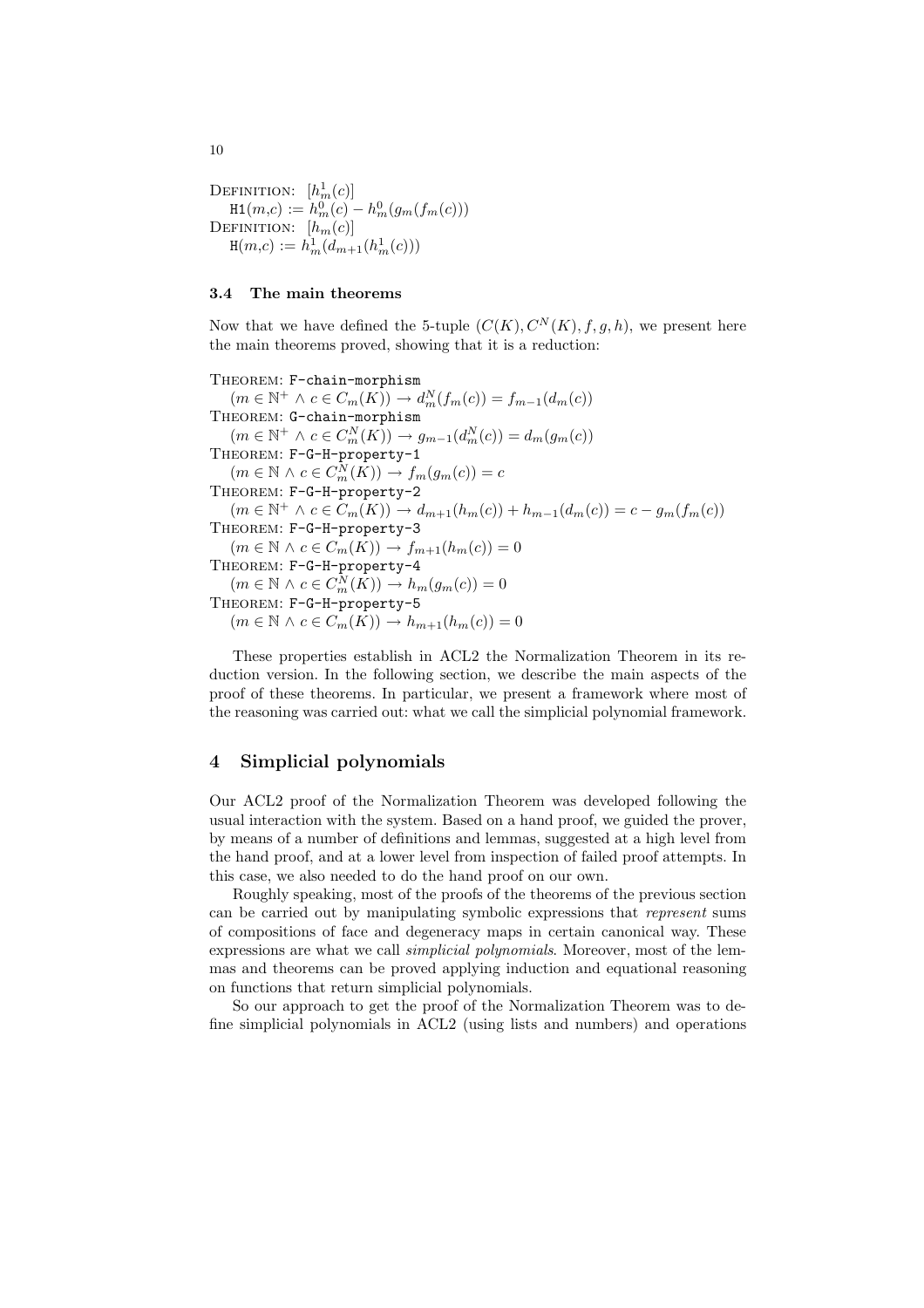DEFINITION:  $[h_m^1(c)]$  $H1(m,c) := h_m^0(c) - h_m^0(g_m(f_m(c)))$ DEFINITION:  $[h_m(c)]$  $H(m,c) := h_m^1(d_{m+1}(h_m^1(c)))$ 

#### 3.4 The main theorems

Now that we have defined the 5-tuple  $(C(K), C<sup>N</sup>(K), f, g, h)$ , we present here the main theorems proved, showing that it is a reduction:

THEOREM: F-chain-morphism  $(m \in \mathbb{N}^+ \land c \in C_m(K)) \rightarrow d_m^N(f_m(c)) = f_{m-1}(d_m(c))$ THEOREM: G-chain-morphism  $(m \in \mathbb{N}^+ \land c \in C_m^N(K)) \to g_{m-1}(d_m^N(c)) = d_m(g_m(c))$ THEOREM: F-G-H-property-1  $(m \in \mathbb{N} \land c \in C_m^N(K)) \to f_m(g_m(c)) = c$ THEOREM: F-G-H-property-2  $(m \in \mathbb{N}^+ \land c \in C_m(K)) \to d_{m+1}(h_m(c)) + h_{m-1}(d_m(c)) = c - g_m(f_m(c))$ THEOREM: F-G-H-property-3  $(m \in \mathbb{N} \land c \in C_m(K)) \rightarrow f_{m+1}(h_m(c)) = 0$ THEOREM: F-G-H-property-4  $(m \in \mathbb{N} \land c \in C_m^N(K)) \to h_m(g_m(c)) = 0$ THEOREM: F-G-H-property-5  $(m \in \mathbb{N} \wedge c \in C_m(K)) \rightarrow h_{m+1}(h_m(c)) = 0$ 

These properties establish in ACL2 the Normalization Theorem in its reduction version. In the following section, we describe the main aspects of the proof of these theorems. In particular, we present a framework where most of the reasoning was carried out: what we call the simplicial polynomial framework.

## 4 Simplicial polynomials

Our ACL2 proof of the Normalization Theorem was developed following the usual interaction with the system. Based on a hand proof, we guided the prover, by means of a number of definitions and lemmas, suggested at a high level from the hand proof, and at a lower level from inspection of failed proof attempts. In this case, we also needed to do the hand proof on our own.

Roughly speaking, most of the proofs of the theorems of the previous section can be carried out by manipulating symbolic expressions that represent sums of compositions of face and degeneracy maps in certain canonical way. These expressions are what we call simplicial polynomials. Moreover, most of the lemmas and theorems can be proved applying induction and equational reasoning on functions that return simplicial polynomials.

So our approach to get the proof of the Normalization Theorem was to define simplicial polynomials in ACL2 (using lists and numbers) and operations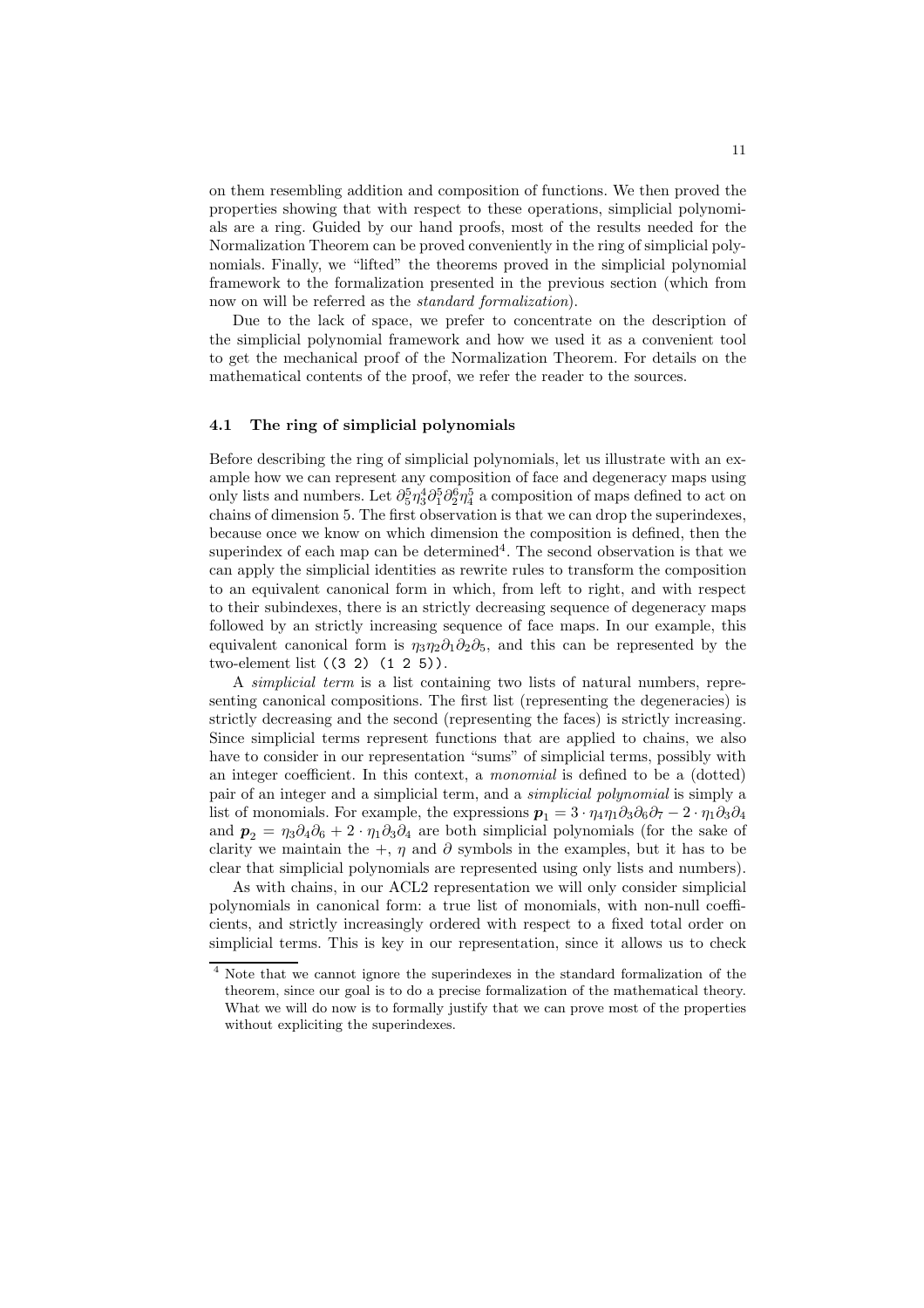on them resembling addition and composition of functions. We then proved the properties showing that with respect to these operations, simplicial polynomials are a ring. Guided by our hand proofs, most of the results needed for the Normalization Theorem can be proved conveniently in the ring of simplicial polynomials. Finally, we "lifted" the theorems proved in the simplicial polynomial framework to the formalization presented in the previous section (which from now on will be referred as the standard formalization).

Due to the lack of space, we prefer to concentrate on the description of the simplicial polynomial framework and how we used it as a convenient tool to get the mechanical proof of the Normalization Theorem. For details on the mathematical contents of the proof, we refer the reader to the sources.

#### 4.1 The ring of simplicial polynomials

Before describing the ring of simplicial polynomials, let us illustrate with an example how we can represent any composition of face and degeneracy maps using only lists and numbers. Let  $\partial_5^5 \eta_3^4 \partial_1^5 \partial_2^6 \eta_4^5$  a composition of maps defined to act on chains of dimension 5. The first observation is that we can drop the superindexes, because once we know on which dimension the composition is defined, then the superindex of each map can be determined<sup>4</sup>. The second observation is that we can apply the simplicial identities as rewrite rules to transform the composition to an equivalent canonical form in which, from left to right, and with respect to their subindexes, there is an strictly decreasing sequence of degeneracy maps followed by an strictly increasing sequence of face maps. In our example, this equivalent canonical form is  $\eta_3\eta_2\partial_1\partial_2\partial_5$ , and this can be represented by the two-element list ((3 2) (1 2 5)).

A simplicial term is a list containing two lists of natural numbers, representing canonical compositions. The first list (representing the degeneracies) is strictly decreasing and the second (representing the faces) is strictly increasing. Since simplicial terms represent functions that are applied to chains, we also have to consider in our representation "sums" of simplicial terms, possibly with an integer coefficient. In this context, a monomial is defined to be a (dotted) pair of an integer and a simplicial term, and a simplicial polynomial is simply a list of monomials. For example, the expressions  $p_1 = 3 \cdot \eta_4 \eta_1 \partial_3 \partial_6 \partial_7 - 2 \cdot \eta_1 \partial_3 \partial_4$ and  $p_2 = \eta_3 \partial_4 \partial_6 + 2 \cdot \eta_1 \partial_3 \partial_4$  are both simplicial polynomials (for the sake of clarity we maintain the +,  $\eta$  and  $\partial$  symbols in the examples, but it has to be clear that simplicial polynomials are represented using only lists and numbers).

As with chains, in our ACL2 representation we will only consider simplicial polynomials in canonical form: a true list of monomials, with non-null coefficients, and strictly increasingly ordered with respect to a fixed total order on simplicial terms. This is key in our representation, since it allows us to check

<sup>4</sup> Note that we cannot ignore the superindexes in the standard formalization of the theorem, since our goal is to do a precise formalization of the mathematical theory. What we will do now is to formally justify that we can prove most of the properties without expliciting the superindexes.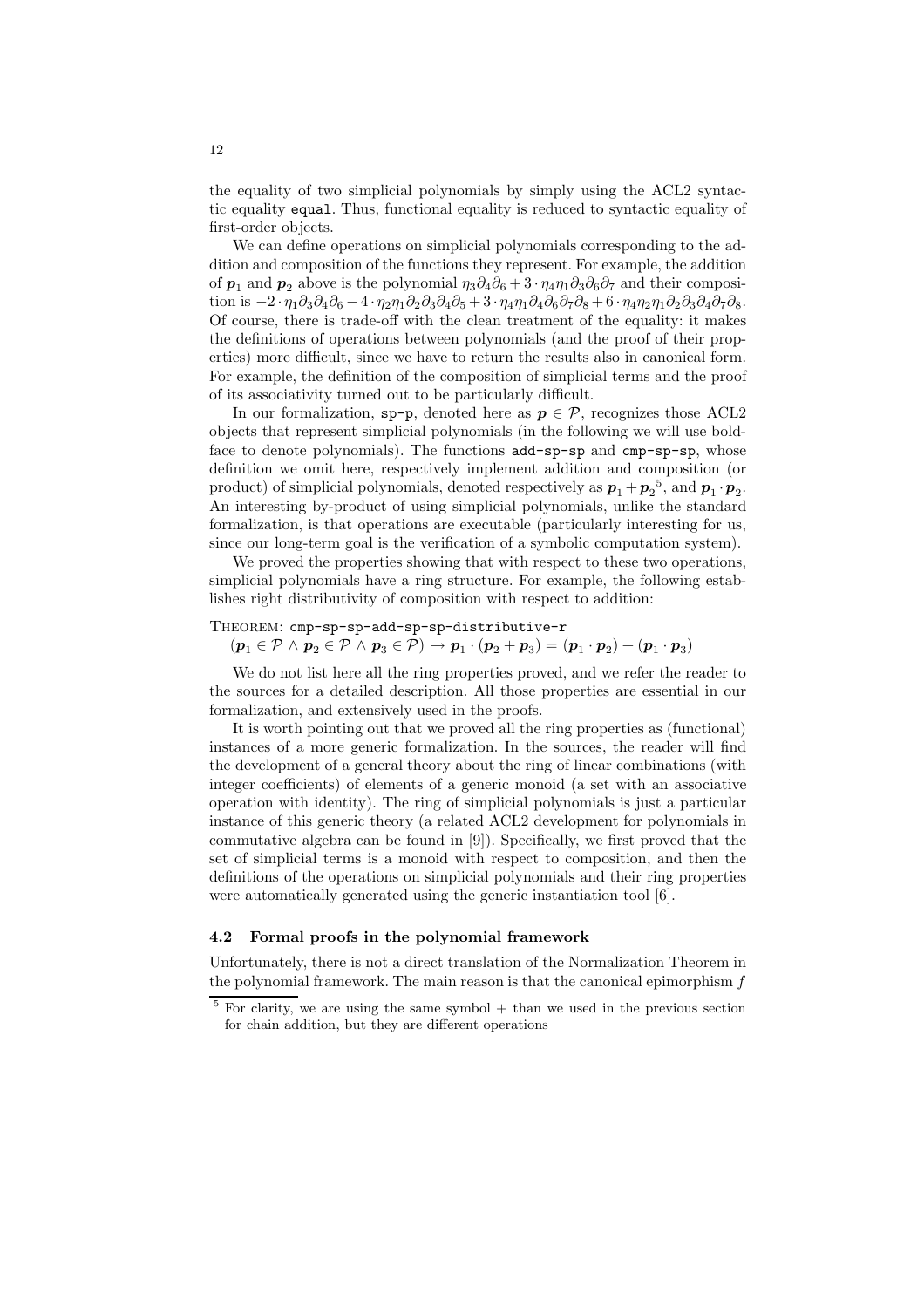the equality of two simplicial polynomials by simply using the ACL2 syntactic equality equal. Thus, functional equality is reduced to syntactic equality of first-order objects.

We can define operations on simplicial polynomials corresponding to the addition and composition of the functions they represent. For example, the addition of  $p_1$  and  $p_2$  above is the polynomial  $\eta_3 \partial_4 \partial_6 + 3 \cdot \eta_4 \eta_1 \partial_3 \partial_6 \partial_7$  and their composition is  $-2 \cdot \eta_1 \partial_3 \partial_4 \partial_6 - 4 \cdot \eta_2 \eta_1 \partial_2 \partial_3 \partial_4 \partial_5 + 3 \cdot \eta_4 \eta_1 \partial_4 \partial_6 \partial_7 \partial_8 + 6 \cdot \eta_4 \eta_2 \eta_1 \partial_2 \partial_3 \partial_4 \partial_7 \partial_8.$ Of course, there is trade-off with the clean treatment of the equality: it makes the definitions of operations between polynomials (and the proof of their properties) more difficult, since we have to return the results also in canonical form. For example, the definition of the composition of simplicial terms and the proof of its associativity turned out to be particularly difficult.

In our formalization, sp-p, denoted here as  $p \in \mathcal{P}$ , recognizes those ACL2 objects that represent simplicial polynomials (in the following we will use boldface to denote polynomials). The functions add-sp-sp and cmp-sp-sp, whose definition we omit here, respectively implement addition and composition (or product) of simplicial polynomials, denoted respectively as  $p_1+p_2^5$ , and  $p_1 \cdot p_2$ . An interesting by-product of using simplicial polynomials, unlike the standard formalization, is that operations are executable (particularly interesting for us, since our long-term goal is the verification of a symbolic computation system).

We proved the properties showing that with respect to these two operations, simplicial polynomials have a ring structure. For example, the following establishes right distributivity of composition with respect to addition:

THEOREM: cmp-sp-sp-add-sp-sp-distributive-r

 $(p_1 \in \mathcal{P} \land p_2 \in \mathcal{P} \land p_3 \in \mathcal{P}) \rightarrow p_1 \cdot (p_2 + p_3) = (p_1 \cdot p_2) + (p_1 \cdot p_3)$ 

We do not list here all the ring properties proved, and we refer the reader to the sources for a detailed description. All those properties are essential in our formalization, and extensively used in the proofs.

It is worth pointing out that we proved all the ring properties as (functional) instances of a more generic formalization. In the sources, the reader will find the development of a general theory about the ring of linear combinations (with integer coefficients) of elements of a generic monoid (a set with an associative operation with identity). The ring of simplicial polynomials is just a particular instance of this generic theory (a related ACL2 development for polynomials in commutative algebra can be found in [9]). Specifically, we first proved that the set of simplicial terms is a monoid with respect to composition, and then the definitions of the operations on simplicial polynomials and their ring properties were automatically generated using the generic instantiation tool [6].

#### 4.2 Formal proofs in the polynomial framework

Unfortunately, there is not a direct translation of the Normalization Theorem in the polynomial framework. The main reason is that the canonical epimorphism  $f$ 

 $5$  For clarity, we are using the same symbol  $+$  than we used in the previous section for chain addition, but they are different operations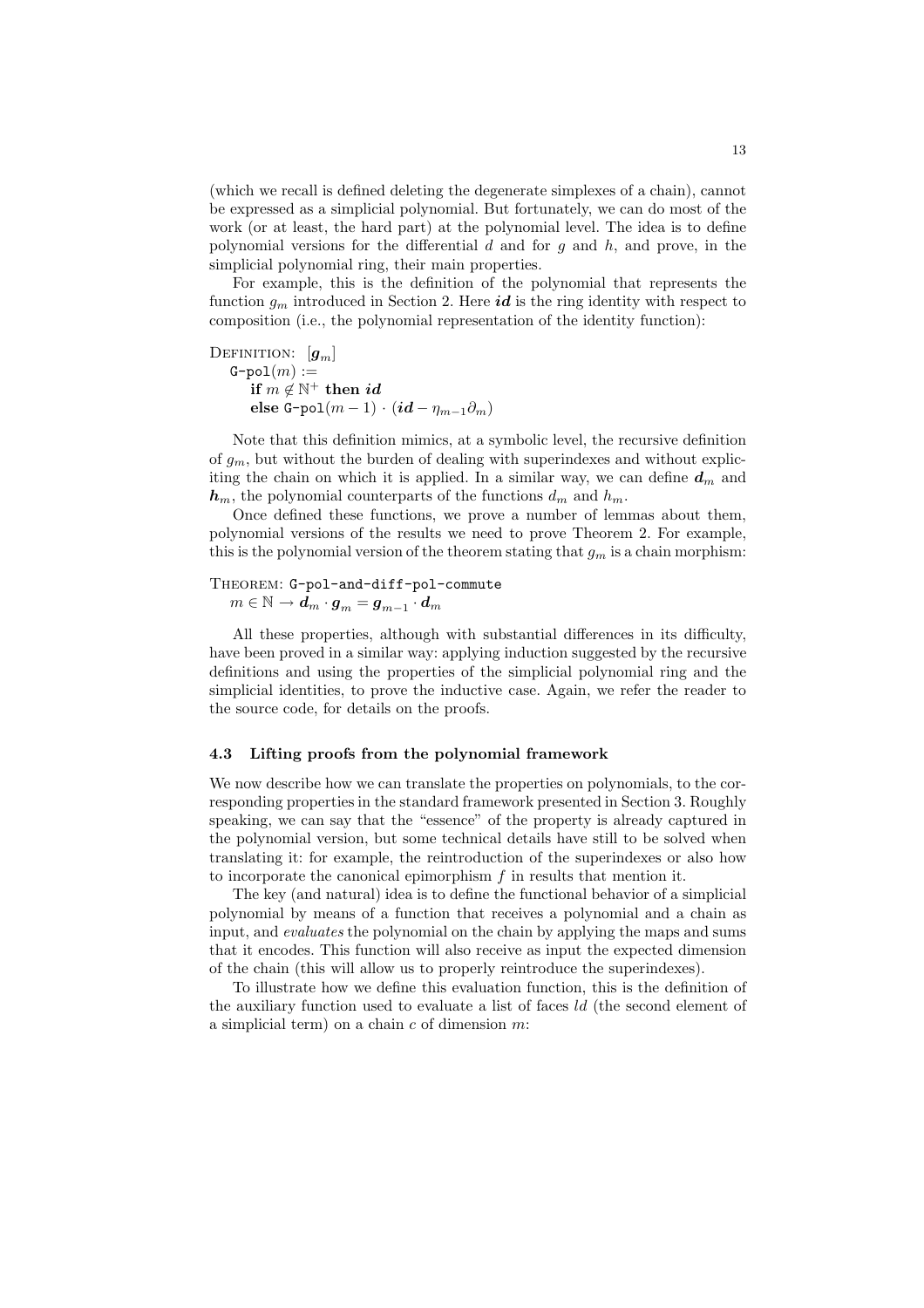(which we recall is defined deleting the degenerate simplexes of a chain), cannot be expressed as a simplicial polynomial. But fortunately, we can do most of the work (or at least, the hard part) at the polynomial level. The idea is to define polynomial versions for the differential  $d$  and for  $g$  and  $h$ , and prove, in the simplicial polynomial ring, their main properties.

For example, this is the definition of the polynomial that represents the function  $g_m$  introduced in Section 2. Here *id* is the ring identity with respect to composition (i.e., the polynomial representation of the identity function):

DEFINITION:  $[g_m]$  $G-pol(m) :=$  $\text{if} \,\, m \not\in \mathbb{N}^+ \,\, \text{then} \,\, id$ else G-pol $(m-1) \cdot (id - \eta_{m-1}\partial_m)$ 

Note that this definition mimics, at a symbolic level, the recursive definition of  $g_m$ , but without the burden of dealing with superindexes and without expliciting the chain on which it is applied. In a similar way, we can define  $d_m$  and  $h_m$ , the polynomial counterparts of the functions  $d_m$  and  $h_m$ .

Once defined these functions, we prove a number of lemmas about them, polynomial versions of the results we need to prove Theorem 2. For example, this is the polynomial version of the theorem stating that  $g_m$  is a chain morphism:

# Theorem: G-pol-and-diff-pol-commute

 $m\in\mathbb{N}\rightarrow\bar{\bm{d}}_m\cdot\bm{g}_m=\bm{g}_{m-1}\cdot\bm{d}_m$ 

All these properties, although with substantial differences in its difficulty, have been proved in a similar way: applying induction suggested by the recursive definitions and using the properties of the simplicial polynomial ring and the simplicial identities, to prove the inductive case. Again, we refer the reader to the source code, for details on the proofs.

## 4.3 Lifting proofs from the polynomial framework

We now describe how we can translate the properties on polynomials, to the corresponding properties in the standard framework presented in Section 3. Roughly speaking, we can say that the "essence" of the property is already captured in the polynomial version, but some technical details have still to be solved when translating it: for example, the reintroduction of the superindexes or also how to incorporate the canonical epimorphism  $f$  in results that mention it.

The key (and natural) idea is to define the functional behavior of a simplicial polynomial by means of a function that receives a polynomial and a chain as input, and evaluates the polynomial on the chain by applying the maps and sums that it encodes. This function will also receive as input the expected dimension of the chain (this will allow us to properly reintroduce the superindexes).

To illustrate how we define this evaluation function, this is the definition of the auxiliary function used to evaluate a list of faces ld (the second element of a simplicial term) on a chain  $c$  of dimension  $m$ :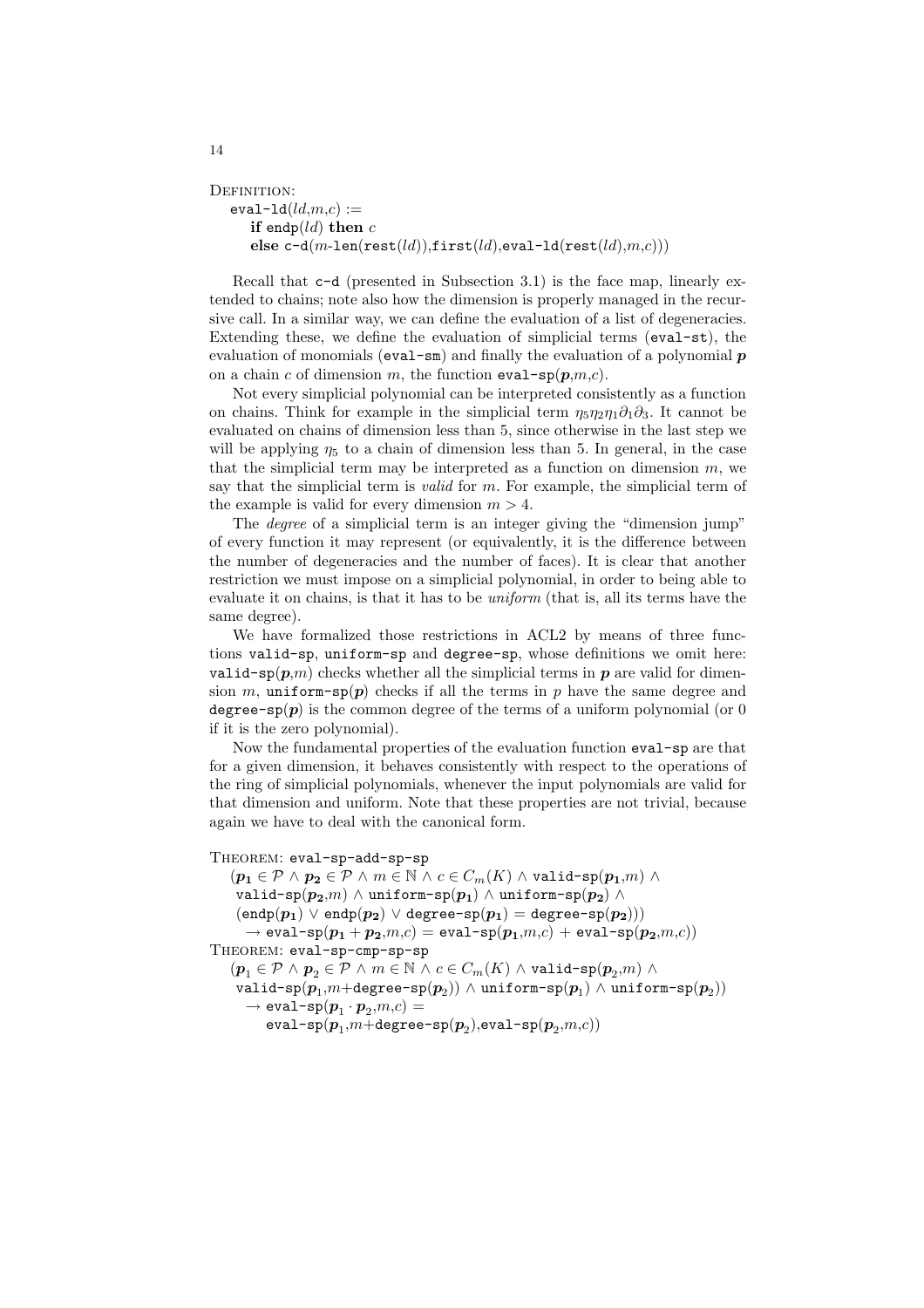```
DEFINITION:
  eval-1d(Id,m,c) :=if endp(ld) then celse c-d(m-len(rest(ld)),first(ld),eval-ld(rest(ld),m,c)))
```
Recall that c-d (presented in Subsection 3.1) is the face map, linearly extended to chains; note also how the dimension is properly managed in the recursive call. In a similar way, we can define the evaluation of a list of degeneracies. Extending these, we define the evaluation of simplicial terms (eval-st), the evaluation of monomials ( $eval-sm$ ) and finally the evaluation of a polynomial  $p$ on a chain c of dimension m, the function  $eval-sp(p,m,c)$ .

Not every simplicial polynomial can be interpreted consistently as a function on chains. Think for example in the simplicial term  $\eta_5\eta_2\eta_1\partial_1\partial_3$ . It cannot be evaluated on chains of dimension less than 5, since otherwise in the last step we will be applying  $\eta_5$  to a chain of dimension less than 5. In general, in the case that the simplicial term may be interpreted as a function on dimension  $m$ , we say that the simplicial term is *valid* for m. For example, the simplicial term of the example is valid for every dimension  $m > 4$ .

The *degree* of a simplicial term is an integer giving the "dimension jump" of every function it may represent (or equivalently, it is the difference between the number of degeneracies and the number of faces). It is clear that another restriction we must impose on a simplicial polynomial, in order to being able to evaluate it on chains, is that it has to be uniform (that is, all its terms have the same degree).

We have formalized those restrictions in ACL2 by means of three functions valid-sp, uniform-sp and degree-sp, whose definitions we omit here: valid-sp $(p,m)$  checks whether all the simplicial terms in p are valid for dimension m, uniform-sp(p) checks if all the terms in p have the same degree and degree-sp(p) is the common degree of the terms of a uniform polynomial (or 0 if it is the zero polynomial).

Now the fundamental properties of the evaluation function eval-sp are that for a given dimension, it behaves consistently with respect to the operations of the ring of simplicial polynomials, whenever the input polynomials are valid for that dimension and uniform. Note that these properties are not trivial, because again we have to deal with the canonical form.

#### THEOREM: eval-sp-add-sp-sp

 $(p_1 \in \mathcal{P} \land p_2 \in \mathcal{P} \land m \in \mathbb{N} \land c \in C_m(K) \land \text{valid-sp}(p_1,m) \land$ valid-sp $(p_2,m) \wedge$  uniform-sp $(p_1) \wedge$  uniform-sp $(p_2) \wedge$  $(\texttt{endp}(p_1) \mathbin{\vee} \texttt{endp}(p_2) \mathbin{\vee} \texttt{degree-sp}(p_1) = \texttt{degree-sp}(p_2)))$  $\rightarrow$  eval-sp $(\boldsymbol{p_1} + \boldsymbol{p_2}.m,c) =$  eval-sp $(\boldsymbol{p_1}.m,c) +$  eval-sp $(\boldsymbol{p_2}.m,c)$ THEOREM: eval-sp-cmp-sp-sp  $(p_1 \in \mathcal{P} \land p_2 \in \mathcal{P} \land m \in \mathbb{N} \land c \in C_m(K) \land \mathtt{valid-sp}(p_2,m) \land$ valid-sp $(\bm p_1,\!m\!+\!\mathtt{degree}\!-\!\mathtt{sp}(\bm p_2))\wedge \mathtt{uniform}\!-\!\mathtt{sp}(\bm p_1)\wedge \mathtt{uniform}\!-\!\mathtt{sp}(\bm p_2))$  $\rightarrow$  eval-sp $(\boldsymbol{p}_1\cdot\boldsymbol{p}_2,\!m,\!c)=$ 

 $\mathtt{eval-sp}({\bm{p}}_1{,}m{+}\mathtt{degree}\text{-}\mathtt{sp}({\bm{p}}_2){,}\mathtt{eval}\text{-}\mathtt{sp}({\bm{p}}_2{,}m{,}c))$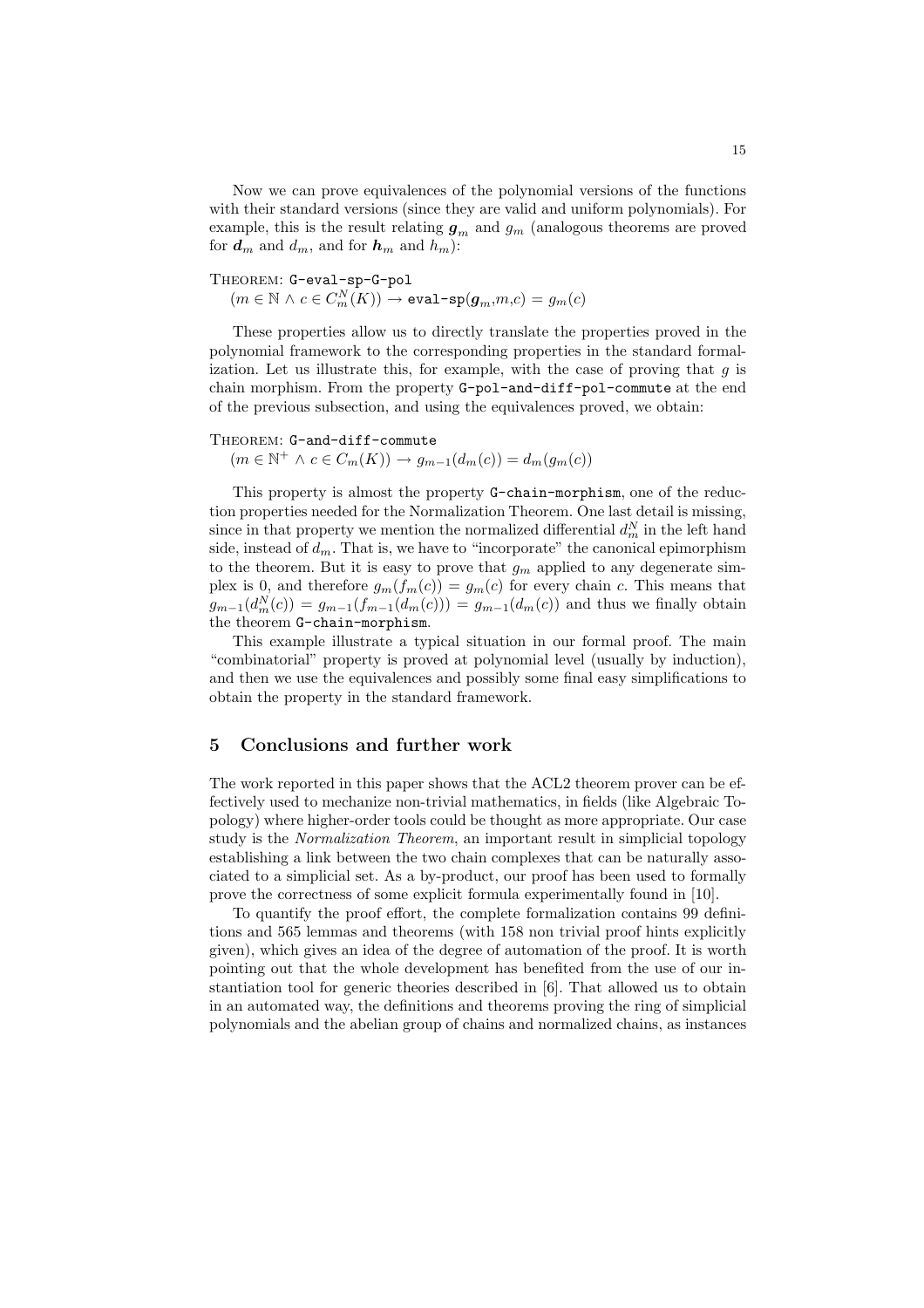Now we can prove equivalences of the polynomial versions of the functions with their standard versions (since they are valid and uniform polynomials). For example, this is the result relating  $g_m$  and  $g_m$  (analogous theorems are proved for  $d_m$  and  $d_m$ , and for  $h_m$  and  $h_m$ ):

## THEOREM: G-eval-sp-G-pol

 $(m\in\mathbb{N} \,\land\, c\in C_m^N(K)) \rightarrow \texttt{eval-sp}(\pmb{g}_m,\!m,\!c)=g_m(c)$ 

These properties allow us to directly translate the properties proved in the polynomial framework to the corresponding properties in the standard formalization. Let us illustrate this, for example, with the case of proving that  $q$  is chain morphism. From the property G-pol-and-diff-pol-commute at the end of the previous subsection, and using the equivalences proved, we obtain:

#### THEOREM: G-and-diff-commute

 $(m \in \mathbb{N}^+ \land c \in C_m(K)) \rightarrow g_{m-1}(d_m(c)) = d_m(g_m(c))$ 

This property is almost the property G-chain-morphism, one of the reduction properties needed for the Normalization Theorem. One last detail is missing, since in that property we mention the normalized differential  $d_m^N$  in the left hand side, instead of  $d_m$ . That is, we have to "incorporate" the canonical epimorphism to the theorem. But it is easy to prove that  $g_m$  applied to any degenerate simplex is 0, and therefore  $g_m(f_m(c)) = g_m(c)$  for every chain c. This means that  $g_{m-1}(d_m^N(c)) = g_{m-1}(f_{m-1}(d_m(c))) = g_{m-1}(d_m(c))$  and thus we finally obtain the theorem G-chain-morphism.

This example illustrate a typical situation in our formal proof. The main "combinatorial" property is proved at polynomial level (usually by induction), and then we use the equivalences and possibly some final easy simplifications to obtain the property in the standard framework.

#### 5 Conclusions and further work

The work reported in this paper shows that the ACL2 theorem prover can be effectively used to mechanize non-trivial mathematics, in fields (like Algebraic Topology) where higher-order tools could be thought as more appropriate. Our case study is the Normalization Theorem, an important result in simplicial topology establishing a link between the two chain complexes that can be naturally associated to a simplicial set. As a by-product, our proof has been used to formally prove the correctness of some explicit formula experimentally found in [10].

To quantify the proof effort, the complete formalization contains 99 definitions and 565 lemmas and theorems (with 158 non trivial proof hints explicitly given), which gives an idea of the degree of automation of the proof. It is worth pointing out that the whole development has benefited from the use of our instantiation tool for generic theories described in [6]. That allowed us to obtain in an automated way, the definitions and theorems proving the ring of simplicial polynomials and the abelian group of chains and normalized chains, as instances